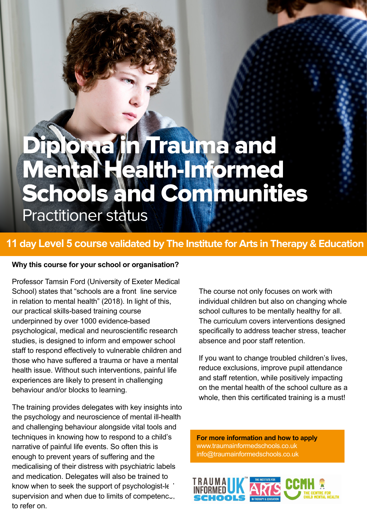# Diploma fin Trauma and Mental Health-Informed Schools and Communities

Practitioner status

## **11 day Level 5 course validated by The Institute for Arts in Therapy & Education**

#### **Why this course for your school or organisation?**

Professor Tamsin Ford (University of Exeter Medical School) states that "schools are a front line service in relation to mental health" (2018). In light of this, our practical skills-based training course underpinned by over 1000 evidence-based psychological, medical and neuroscientific research studies, is designed to inform and empower school staff to respond effectively to vulnerable children and those who have suffered a trauma or have a mental health issue. Without such interventions, painful life experiences are likely to present in challenging behaviour and/or blocks to learning.

The training provides delegates with key insights into the psychology and neuroscience of mental ill-health and challenging behaviour alongside vital tools and techniques in knowing how to respond to a child's narrative of painful life events. So often this is enough to prevent years of suffering and the medicalising of their distress with psychiatric labels and medication. Delegates will also be trained to know when to seek the support of psychologist-le by supervision and when due to limits of competenc. to refer on.

The course not only focuses on work with individual children but also on changing whole school cultures to be mentally healthy for all. The curriculum covers interventions designed specifically to address teacher stress, teacher absence and poor staff retention.

If you want to change troubled children's lives, reduce exclusions, improve pupil attendance and staff retention, while positively impacting on the mental health of the school culture as a whole, then this certificated training is a must!

**For more information and how to apply** www.traumainformedschools.co.uk info@traumainformedschools.co.uk